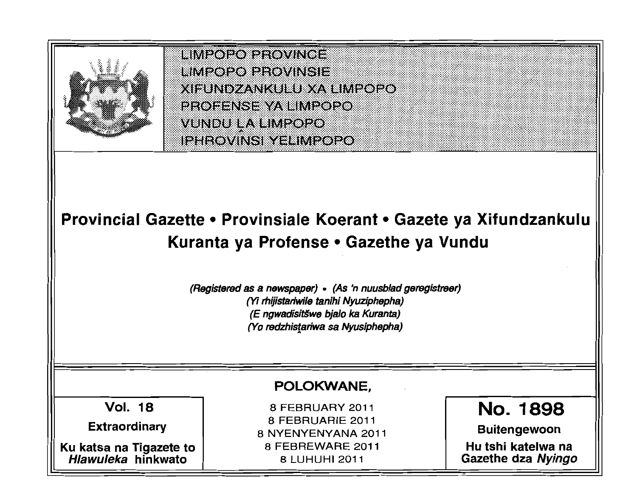

HMPOPO PROVINCE him20P012P0WNSIB **XEUNDZANKULU XA LIMPOPO EROEENSE YA EIME@E@ VUNDU LA LIMPOPO IPHROVINS YELIMPOPO** 

# Provincial Gazette • Provinsiale Koerant • Gazete ya Xifundzankulu Kuranta ya Profense • Gazethe ya Vundu

(Registered as a newspaper) • (As 'n nuusblad geregistreer) *(Yi* rhijistariwi/e tanihi Nyuziphepha) (E ngwadisit§we bja/o ka Kuranta) (Yo redzhisfariwa sa Nyusiphepha)

# POLOKWANE,

Vol. 18

Extraordinary

Ku katsa na Tigazete to Hlawuleka hinkwato

8 FEBRUARY 2011 8 FEBRUARIE 2011 8 NYENYENYANA 2011 8 FEBREWARE 2011 8 LUHUHI 2011

No. **1898**  Buitengewoon

Hu tshi katelwa na Gazethe dza Nyingo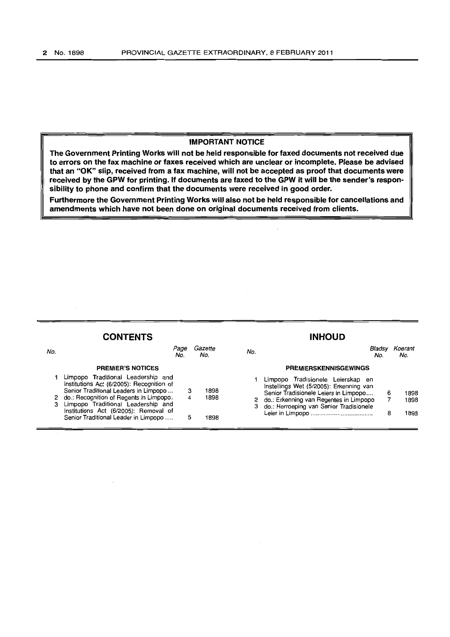#### **IMPORTANT NOTICE**

**The Government Printing Works will not be held responsible for faxed documents not received due to errors on the fax machine or faxes received which are unclear or incomplete. Please be advised that an "OK" slip, received from a fax machine, will not be accepted as proof that documents were received by the GPW for printing. If documents are faxed to the GPW it will be the sender's responsibility to phone and confirm that the documents were received in good order.** 

**Furthermore the Government Printing Works will also not be held responsible for cancellations and amendments which have not been done on original documents received from clients.** 

# **CONTENTS INHOUD**

| No. | Page<br>No.                                                                                                                                                                                                                                                                                  |   | Gazette<br>No.       | No. |                                                                                                                                                                                                                | No. | Koerant<br>No.       |
|-----|----------------------------------------------------------------------------------------------------------------------------------------------------------------------------------------------------------------------------------------------------------------------------------------------|---|----------------------|-----|----------------------------------------------------------------------------------------------------------------------------------------------------------------------------------------------------------------|-----|----------------------|
|     | <b>PREMIER'S NOTICES</b>                                                                                                                                                                                                                                                                     |   |                      |     | <b>PREMIERSKENNISGEWINGS</b>                                                                                                                                                                                   |     |                      |
|     | Limpopo Traditional Leadership and<br>Institutions Act (6/2005): Recognition of<br>Senior Traditional Leaders in Limpopo<br>2 do.: Recognition of Regents in Limpopo.<br>Limpopo Traditional Leadership and<br>Institutions Act (6/2005): Removal of<br>Senior Traditional Leader in Limpopo | 4 | 1898<br>1898<br>1898 |     | Limpopo Tradisionele Leierskap en<br>Instellings Wet (5/2005): Erkenning van<br>Senior Tradisionele Leiers in Limpopo<br>2 do.: Erkenning van Regentes in Limpopo<br>3 do.: Herroeping van Senior Tradisionele |     | 1898<br>1898<br>1898 |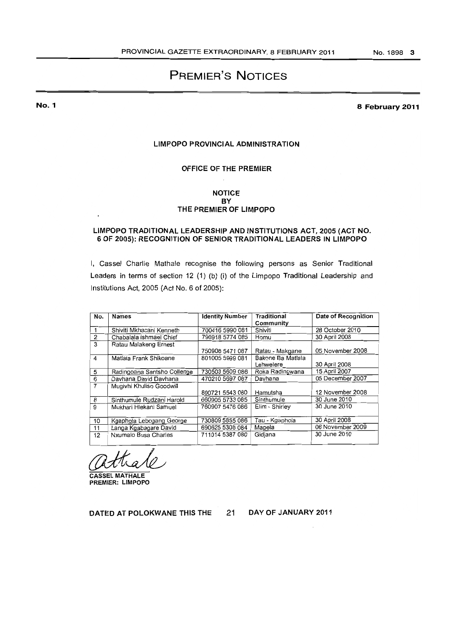# PREMIER'S NOTICES

No.1

8 February 2011

#### LIMPOPO PROVINCIAL ADMINISTRATION

#### OFFICE OF THE PREMIER

#### NOTICE BY THE PREMIER OF LIMPOPO

#### LIMPOPO TRADITIONAL LEADERSHIP AND INSTITUTIONS ACT, 2005 (ACT NO. 6 OF 2005): RECOGNITION OF SENIOR TRADITIONAL LEADERS IN LIMPOPO

I, Cassel Charlie Mathale recognise the following persons as Senior Traditional Leaders in terms of section 12 (1) (b) (i) of the Limpopo Traditional Leadership and Institutions Act, 2005 (Act No. 6 of 2005):

| No.            | <b>Names</b>                | <b>Identity Number</b> | <b>Traditional</b> | Date of Recognition |
|----------------|-----------------------------|------------------------|--------------------|---------------------|
|                |                             |                        | Community          |                     |
|                | Shiviti Mkhacani Kenneth    | 700416 5990 081        | Shiviti            | 28 October 2010     |
| $\overline{2}$ | Chabalala Ishmael Chief     | 790918 5774 085        | Homu               | 30 April 2008       |
| 3              | Ratau Malakeng Ernest       |                        |                    |                     |
|                |                             | 750908 5471 087        | Ratau - Makgane    | 05 November 2008    |
| 4              | Matlala Frank Shikoane      | 801005 5999 081        | Bakone Ba Matlala  |                     |
|                |                             |                        | Lehwelere          | 30 April 2008       |
| 5              | Radingoana Sentsho Collenge | 730503 5609 086        | Roka Radingwana    | 15 April 2007       |
| 6              | Davhana David Davhana       | 470210 5697 087        | Davhana            | 05 December 2007    |
| $\overline{7}$ | Mugivhi Khuliso Goodwill    |                        |                    |                     |
|                |                             | 800721 5543 080        | Hamutsha           | 12 November 2008    |
| 8              | Sinthumule Rudzani Harold   | 660905 5733 085        | Sinthumule         | 30 June 2010        |
| 9              | Mukhari Hlekani Samuel      | 760907 5476 086        | Elim - Shirley     | 30 June 2010        |
|                |                             |                        |                    |                     |
| 10             | Kgaphola Lebogang George    | 730809 5855 086        | Tau - Kgaphola     | 30 April 2008       |
| 11             | Langa Kgabagare David       | 690625 5308 084        | Mapela             | 06 November 2009    |
| 12             | Nxumalo Busa Charles        | 711014 5387 080        | Gidjana            | 30 June 2010        |
|                |                             |                        |                    |                     |

CASSEL MATHALE PREMIER: LIMPOPO

DATED AT POLOKWANE THIS THE 21

DAY OF JANUARY 2011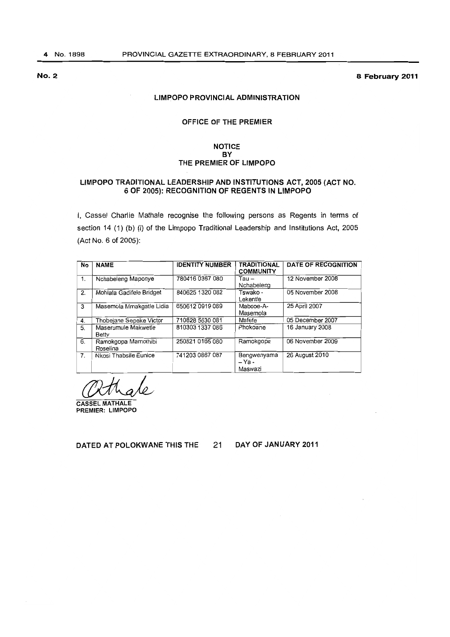No.2 8 February 2011

#### LIMPOPO PROVINCIAL ADMINISTRATION

## OFFICE OF THE PREMIER

#### NOTICE BY THE PREMIER OF LIMPOPO

#### LIMPOPO TRADITIONAL LEADERSHIP AND INSTITUTIONS ACT, 2005 (ACT NO. G OF 2005): RECOGNITION OF REGENTS IN LIMPOPO

I. Cassel Charlie Mathale recognise the following persons as Regents in terms of section 14 (1) (b) (i) of the Limpopo Traditional Leadership and Institutions Act, 2005 (Act No. 6 of 2005):

| No | <b>NAME</b>                     | <b>IDENTITY NUMBER</b> | <b>TRADITIONAL</b><br><b>COMMUNITY</b> | <b>DATE OF RECOGNITION</b> |
|----|---------------------------------|------------------------|----------------------------------------|----------------------------|
| 1. | Nchabeleng Maponye              | 780416 0367 080        | Tau –<br>Nchabeleng                    | 12 November 2008           |
| 2. | Mohlala Gadifele Bridget        | 840625 1320 082        | Tswako -<br>Lekentle                   | 05 November 2008           |
| 3  | Masemola Mmakgatle Lidia        | 650612 0919 089        | Mabooe-A-<br>Masemola                  | 25 April 2007              |
| 4. | Thobejane Sepeke Victor         | 710828 5630 081        | Mafefe                                 | 05 December 2007           |
| 5. | Maserumule Makwetle<br>Betty    | 810303 1337 086        | Phokoane                               | 16 January 2008            |
| 6. | Ramokgopa Mamothibi<br>Roselina | 250821 0165 080        | Ramokgopa                              | 06 November 2009           |
| 7. | Nkosi Thabsile Eunice           | 741203 0867 087        | Bengwenyama<br>– Ya -<br>Maswazi       | 26 August 2010             |

CASSEL MATHALE PREMIER: LIMPOPO

DATED AT POLOKWANE THIS THE 21 DAY OF JANUARY 2011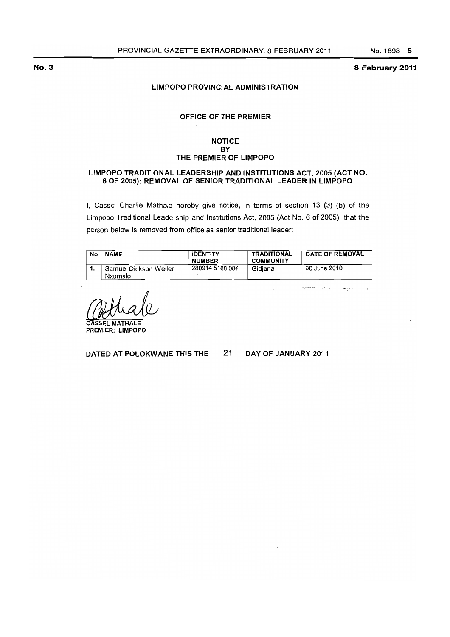#### 8 February 2011

#### LIMPOPO PROVINCIAL ADMINISTRATION

### OFFICE OF THE PREMIER

#### **NOTICE BY** THE PREMIER OF LIMPOPO

#### LIMPOPO TRADITIONAL LEADERSHIP AND INSTITUTIONS ACT, 2005 (ACT NO. 6 OF 2005): REMOVAL OF SENIOR TRADITIONAL LEADER IN LIMPOPO

I, Cassel Charlie Mathale hereby give notice, in terms of section 13 (3) (b) of the Limpopo Traditional Leadership and Institutions Act, 2005 (Act No.6 of 2005), that the person below is removed from office as senior traditional leader:

| No | <b>NAME</b>           | <b>IDENTITY</b><br><b>NUMBER</b> | <b>TRADITIONAL</b><br><b>COMMUNITY</b> | DATE OF REMOVAL |
|----|-----------------------|----------------------------------|----------------------------------------|-----------------|
|    | Samuel Dickson Weller | 280914 5188 084                  | Gidiana                                | 30 June 2010    |
|    | Nxumalo               |                                  |                                        |                 |

We be a property of the Minimals Constants of the Minimals Constants of the Minimals Constants of the Constants of the Constants of the Constants of the Constants of the Constants of the Constants of the Constants of the C

DATED AT POLOKWANE THIS THE 21 DAY OF JANUARY 2011

www.wi

 $\ddotsc$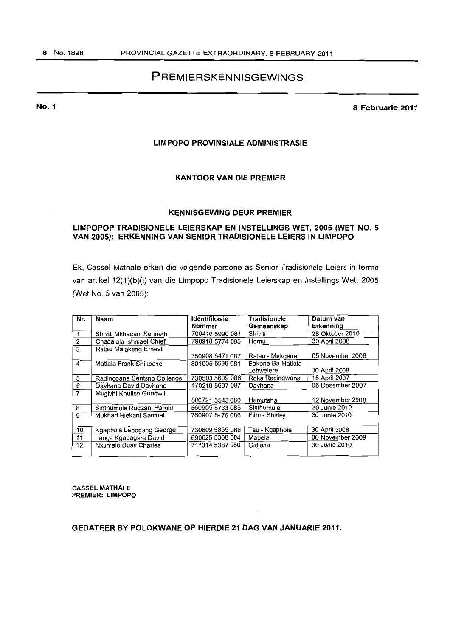# **PREMIERSKENNISGEWINGS**

**No.1** 

**8 Februarie 2011** 

#### **LIMPOPO PROVINSIALE ADMINISTRASIE**

# **KANTOOR VAN DIE PREMIER**

# **KENNISGEWING DEUR PREMIER**

# **L1MPOPOP TRADISIONELE LEIERSKAP EN INSTELLINGS WET, 2005 (WET NO.5 VAN 2005): ERKENNING VAN SENIOR TRADISIONELE LEIERS IN LIMPOPO**

Ek. Cassel Mathale erken die volgende persone as Senior Tradisionele Leiers in terme van artikel 12(1)(b)(i) van die Limpopo Tradisionele Leierskap en Instellings Wet. 2005 (Wet No. 5 van 2005):

| Nr.            | Naam                        | Identifikasie<br>Nommer | <b>Tradisionele</b><br>Gemeenskap | Datum van<br>Erkenning |
|----------------|-----------------------------|-------------------------|-----------------------------------|------------------------|
|                | Shiviti Mkhacani Kenneth    | 700416 5990 081         | Shiviti                           | 28 Oktober 2010        |
| $\overline{2}$ | Chabalala Ishmael Chief     | 790918 5774 085         | Homu                              | 30 April 2008          |
| 3              | Ratau Malakeng Ernest       |                         |                                   |                        |
|                |                             | 750908 5471 087         | Ratau - Makgane                   | 05 November 2008       |
| 4              | Matlala Frank Shikoane      | 801005 5999 081         | Bakone Ba Matlala                 |                        |
|                |                             |                         | Lehwelere                         | 30 April 2008          |
| 5              | Radingoana Sentsho Collenge | 730503 5609 086         | Roka Radingwana                   | 15 April 2007          |
| 6              | Davhana David Davhana       | 470210 5697 087         | Davhana                           | 05 Desember 2007       |
| $\overline{7}$ | Mugivhi Khuliso Goodwill    |                         |                                   |                        |
|                |                             | 800721 5543 080         | Hamutsha                          | 12 November 2008       |
| 8              | Sinthumule Rudzani Harold   | 660905 5733 085         | Sinthumule                        | 30 Junie 2010          |
| 9              | Mukhari Hlekani Samuel      | 760907 5476 086         | Elim - Shirley                    | 30 Junie 2010          |
|                |                             |                         |                                   |                        |
| 10             | Kgaphola Lebogang George    | 730809 5855 086         | Tau - Kgaphola                    | 30 April 2008          |
| 11             | Langa Kgabagare David       | 690625 5308 084         | Mapela                            | 06 November 2009       |
| 12             | Nxumalo Busa Charles        | 711014 5387 080         | Gidjana                           | 30 Junie 2010          |

CASSEL MATHALE PREMIER: LIMPOPO

**GEDATEER BY POLOKWANE OP HIERDIE 21 DAG VAN JANUARIE 2011.**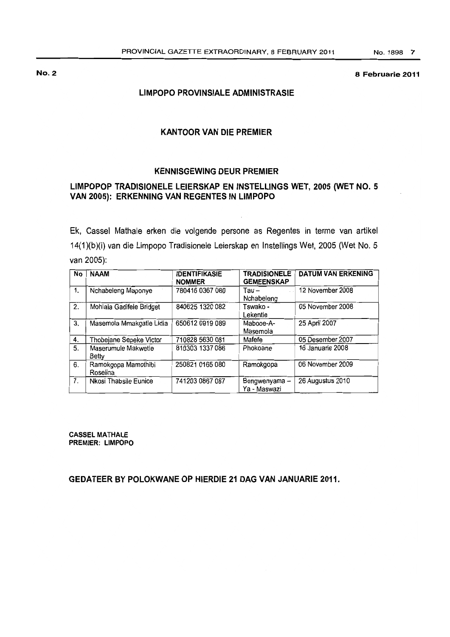#### **8 Februarie 2011**

# **LIMPOPO PROVINSIALE ADMINISTRASIE**

# **KANTOORVAN DIE PREMIER**

# **KENNISGEWING DEUR PREMIER**

# **LlMPOPOP TRADISIONELE LEIERSKAP EN INSTELLINGS WET, 2005 (WET NO.5 VAN 2005): ERKENNING VAN REGENTES IN LIMPOPO**

Ek, Cassel Mathale erken die volgende persone as Regentes in terme van artikel 14(1)(b)(i) van die Limpopo Tradisionele Leierskap en Instellings Wet, 2005 (Wet No.5 van 2005):

| No | <b>NAAM</b>                     | <b>IDENTIFIKASIE</b><br><b>NOMMER</b> | <b>TRADISIONELE</b><br><b>GEMEENSKAP</b> | <b>DATUM VAN ERKENING</b> |
|----|---------------------------------|---------------------------------------|------------------------------------------|---------------------------|
| 1. | Nchabeleng Maponye              | 780416 0367 080                       | Tau –<br>Nchabeleng                      | 12 November 2008          |
| 2. | Mohlala Gadifele Bridget        | 840625 1320 082                       | Tswako -<br>Lekentle                     | 05 November 2008          |
| 3. | Masemola Mmakgatle Lidia        | 650612 0919 089                       | Mabooe-A-<br>Masemola                    | 25 April 2007             |
| 4. | Thobejane Sepeke Victor         | 710828 5630 081                       | Mafefe                                   | 05 Desember 2007          |
| 5. | Maserumule Makwetle<br>Betty    | 810303 1337 086                       | Phokoane                                 | 16 Januarie 2008          |
| 6. | Ramokgopa Mamothibi<br>Roselina | 250821 0165 080                       | Ramokgopa                                | 06 November 2009          |
| 7. | Nkosi Thabsile Eunice           | 741203 0867 087                       | Bengwenyama-<br>Ya - Maswazi             | 26 Augustus 2010          |

**CASSEL MATHALE PREMIER: LIMPOPO** 

# **GEDATEER BY POLOKWANE OP HIERDIE 21 DAG VAN JANUARIE 2011.**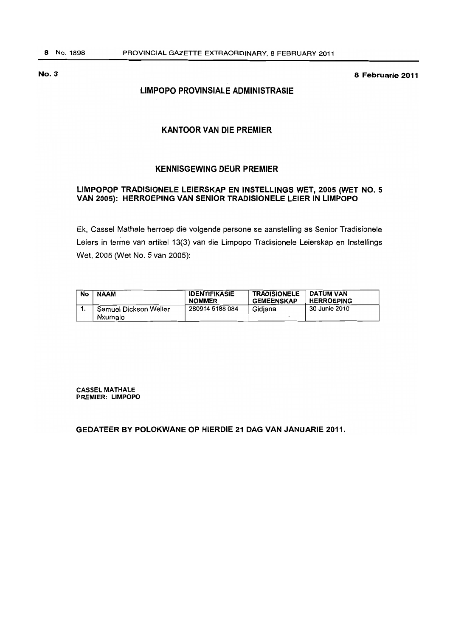**No.3 8 Februarie 2011** 

# **LIMPOPO PROVINSIALE ADMINISTRASIE**

# **KANTOOR VAN DIE PREMIER**

# **KENNISGEWING DEUR PREMIER**

# **LIMPOPOP TRADISIONELE LEIERSKAP EN INSTELLINGS WET, 2005 (WET NO.5 VAN 2005): HERROEPING VAN SENIOR TRADISIONELE LEIER IN LIMPOPO**

Ek, Cassel Mathale herroep die volgende persone se aanstelling as Senior Tradisionele Leiers in terme van artikel 13(3) van die Limpopo Tradisionele Leierskap en Instellings Wet, 2005 (Wet No. 5 van 2005):

| No | <b>NAAM</b>           | <b>IDENTIFIKASIE</b><br><b>NOMMER</b> | <b>TRADISIONELE</b><br><b>GEMEENSKAP</b> | DATUM VAN<br><b>HERROEPING</b> |
|----|-----------------------|---------------------------------------|------------------------------------------|--------------------------------|
|    | Samuel Dickson Weller | 280914 5188 084                       | Gidiana                                  | 30 Junie 2010                  |
|    | Nxumalo               |                                       |                                          |                                |

**CASSEL MATHALE PREMIER: LIMPOPO** 

**GEDATEER BY POLOKWANE OP HIERDIE 21 DAG VAN JANUARIE 2011.**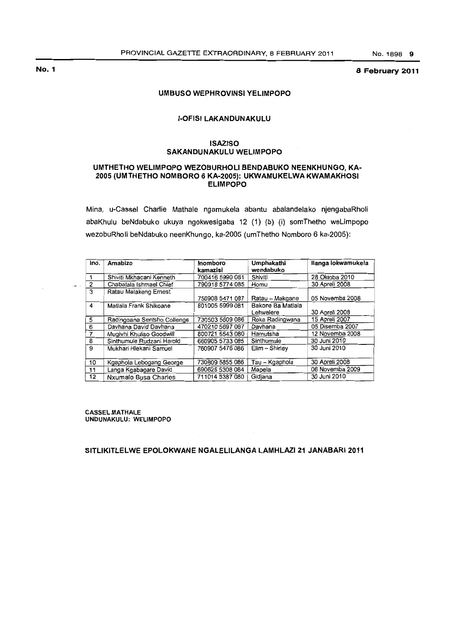# 8 February 2011

#### UMBUSO WEPHROVINSI YELIMPOPO

#### **I-OFISI LAKANDUNAKULU**

#### ISAZISO SAKANDUNAKULU WELIMPOPO

#### UMTHETHO WELIMPOPO WEZOBURHOll BENDABUKO NEENKHUNGO, KA-2005 (UMTHETHO NOMBORO 6 KA-2005): UKWAMUKElWA KWAMAKHOSI ELIMPOPO

Mina. u-Cassel Charlie Mathale ngamukela abantu abalandelako njengabaRholi abaKhulu beNdabuko ukuya ngokwesigaba 12 (1) (b) (i) somThetho weLimpopo wezobuRholi beNdabuko neenKhungo. ka-2005 (umThetho Nomboro 6 ka-2005):

| ino.           | Amabizo                     | Inomboro        | <b>Umphakathi</b> | Ilanga lokwamukela |
|----------------|-----------------------------|-----------------|-------------------|--------------------|
|                |                             | kamazisi        | wendabuko         |                    |
|                | Shiviti Mkhacani Kenneth    | 700416 5990 081 | Shiviti           | 28 Oktoba 2010     |
| 2              | Chabalala Ishmael Chief     | 790918 5774 085 | Homu              | 30 Apreli 2008     |
| 3              | Ratau Malakeng Ernest       |                 |                   |                    |
|                |                             | 750908 5471 087 | Ratau - Makgane   | 05 Novemba 2008    |
| 4              | Matlala Frank Shikoane      | 801005 5999 081 | Bakone Ba Matlala |                    |
|                |                             |                 | Lehwelere         | 30 Apreli 2008     |
| 5              | Radingoana Sentsho Collenge | 730503 5609 086 | Roka Radingwana   | 15 Apreli 2007     |
| 6              | Davhana David Davhana       | 470210 5697 087 | Davhana           | 05 Disemba 2007    |
| $\overline{7}$ | Mugivhi Khuliso Goodwill    | 800721 5543 080 | Hamutsha          | 12 Novemba 2008    |
| 8              | Sinthumule Rudzani Harold   | 660905 5733 085 | Sinthumule        | 30 Juni 2010       |
| 9              | Mukhari Hlekani Samuel      | 760907 5476 086 | Elim -- Shirley   | 30 Juni 2010       |
|                |                             |                 |                   |                    |
| 10             | Kgaphola Lebogang George    | 730809 5855 086 | Tau - Kgaphola    | 30 Apreli 2008     |
| 11             | Langa Kgabagare David       | 690625 5308 084 | Mapela            | 06 Novemba 2009    |
| 12             | Nxumalo Busa Charles        | 711014 5387 080 | Gidiana           | 30 Juni 2010       |

CASSEL MATHALE UNDUNAKULU: WELIMPOPO

SITLIKITlElWE EPOLOKWANE NGAlELILANGA lAMHLAZI 21 JANABARI 2011

No.1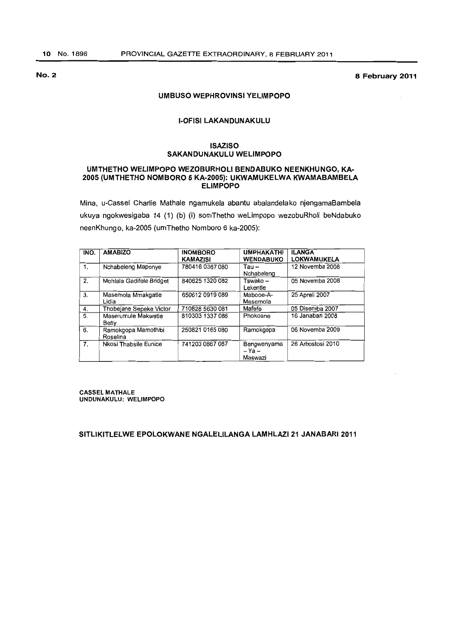8 February 2011

#### UMBUSO WEPHROVINSI YELIMPOPO

#### **I-OFISI LAKANDUNAKULU**

#### ISAZISO SAKANDUNAKULU WELIMPOPO

#### UMTHETHO WELIMPOPO WEZOBURHOLI BENDABUKO NEENKHUNGO, KA· 2005 (UMTHETHO NOMBORO 6 KA-2005): UKWAMUKELWA KWAMABAMBELA **ELIMPOPO**

Mina, u-Cassel Charlie Mathale ngamukela abantu abalandelako njengamaBambela ukuya ngokwesigaba 14 (1) (b) (i) somThetho weLimpopo wezobuRholi beNdabuko neenKhungo, ka-2005 (umThetho Nomboro 6 ka-2005):

| INO.           | <b>AMABIZO</b>                  | <b>INOMBORO</b><br><b>KAMAZISI</b> | <b><i><u>UMPHAKATHI</u></i></b><br><b>WENDABUKO</b> | <b>ILANGA</b><br><b>LOKWAMUKELA</b> |
|----------------|---------------------------------|------------------------------------|-----------------------------------------------------|-------------------------------------|
| 1.             | Nchabeleng Maponye              | 780416 0367 080                    | Tau –<br>Nchabeleng                                 | 12 Novemba 2008                     |
| 2.             | Mohlala Gadifele Bridget        | 840625 1320 082                    | Tswako –<br>Lekentle                                | 05 Novemba 2008                     |
| 3.             | Masemola Mmakgatle<br>Lidia     | 650612 0919 089                    | Mabooe-A-<br>Masemola                               | 25 Apreli 2007                      |
| 4.             | Thobejane Sepeke Victor         | 710828 5630 081                    | Mafefe                                              | 05 Disemba 2007                     |
| 5.             | Maserumule Makwetle<br>Betty    | 810303 1337 086                    | Phokoane                                            | 16 Janabari 2008                    |
| 6.             | Ramokgopa Mamothibi<br>Roselina | 250821 0165 080                    | Ramokgopa                                           | 06 Novemba 2009                     |
| 7 <sub>1</sub> | Nkosi Thabsile Eunice           | 741203 0867 087                    | Bengwenyama<br>$- Ya -$<br>Maswazi                  | 26 Arhostosi 2010                   |

CASSEL MATHALE UNDUNAKULU: WELIMPOPO

SITLIKITLELWE EPOLOKWANE NGALELILANGA LAMHLAZI 21 JANABARI 2011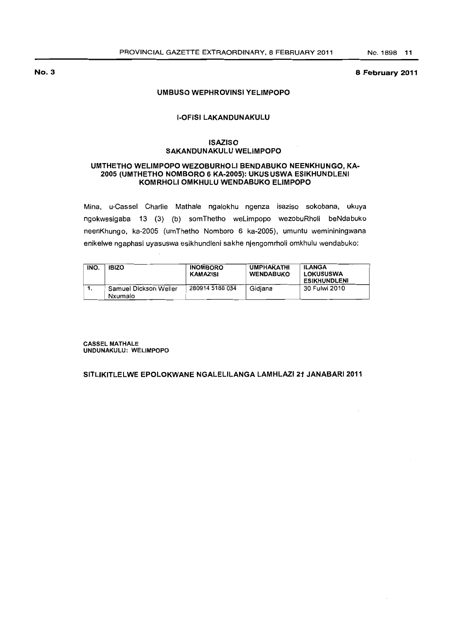8 February 2011

#### UMBUSO WEPHROVINSI YELIMPOPO

#### **I-OFISI LAKANDUNAKULU**

#### **ISAZISO** SAKANDUNAKULU WELIMPOPO

#### UMTHETHO WELIMPOPO WEZOBURHOLI BENDABUKO NEENKHUNGO, KA-2005 (UMTHETHO NOMBORO 6 KA-2005): UKUSUSWA ESIKHUNDLENI KOMRHOLI OMKHULU WENDABUKO ELIMPOPO

Mina, u-Cassel Charlie Mathale ngalokhu ngenza isaziso sokobana, ukuya ngokwesigaba 13 (3) (b) somThetho weLimpopo wezobuRholi beNdabuko neenKhungo, ka-2005 (umThetho Nomboro 6 ka-2005), umuntu wemininingwana enikelwe ngaphasi uyasuswa esikhundleni sakhe njengomrholi omkhulu wendabuko:

| INO. | <b>IBIZO</b>                     | <b>INOMBORO</b><br>KAMAZISI | <b>UMPHAKATHI</b><br><b>WENDABUKO</b> | <b>ILANGA</b><br><b>LOKUSUSWA</b><br><b>ESIKHUNDLENI</b> |
|------|----------------------------------|-----------------------------|---------------------------------------|----------------------------------------------------------|
|      | Samuel Dickson Weller<br>Nxumalo | 280914 5188 084             | Gidiana                               | 30 Fulwi 2010                                            |

CASSEL MATHALE UNDUNAKULU: WELIMPOPO

# SITLIKITLELWE EPOLOKWANE NGALELILANGA LAMHLAZI 21 JANABARI 2011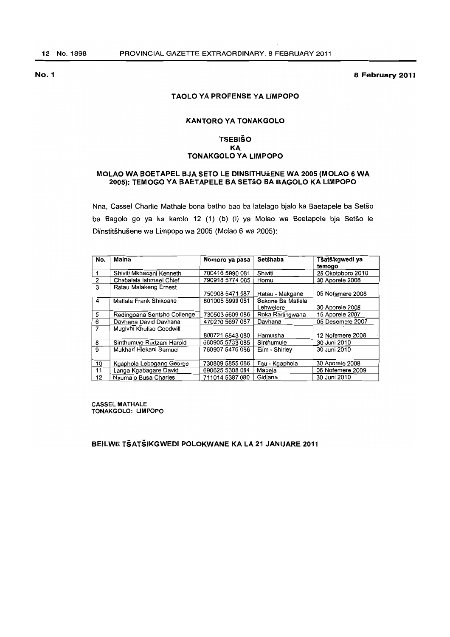8 February 2011

#### T AOlO YA PROFENSE YA liMPOPO

### KANTORO YA TONAKGOlO

#### **TSEBIŠO** KA TONAKGOlO YA LIMPOPO

#### MOlAO WA SOETAPEL BJA SETO lE DINSITHUsENE WA 2005 (MOlAO 6 WA 2005): TEMOGO YA SAETAPElE SA SETSO SA SAGOLO KA LIMPOPO

Nna, Cassel Charlie Mathale bona batho bao ba latelago bjalo ka Baetapele ba Setso ba Bagolo go ya ka karolo 12 (1) (b) (i) ya Molao wa Boetapele bja Setšo le Diinstitšhušene wa Limpopo wa 2005 (Molao 6 wa 2005):

| No.            | Maina                       | Nomoro ya pasa  | Setšhaba          | Tšatšikgwedi ya<br>temogo |
|----------------|-----------------------------|-----------------|-------------------|---------------------------|
|                | Shiviti Mkhacani Kenneth    | 700416 5990 081 | Shiviti           | 28 Okotoboro 2010         |
| 2              | Chabalala Ishmael Chief     | 790918 5774 085 | Homu              | 30 Aporele 2008           |
| 3              | Ratau Malakeng Ernest       |                 |                   |                           |
|                |                             | 750908 5471 087 | Ratau - Makgane   | 05 Nofemere 2008          |
| 4              | Matlala Frank Shikoane      | 801005 5999 081 | Bakone Ba Matlala |                           |
|                |                             |                 | Lehwelere         | 30 Aporele 2008           |
| 5              | Radingoana Sentsho Collenge | 730503 5609 086 | Roka Radingwana   | 15 Aporele 2007           |
| 6              | Davhana David Davhana       | 470210 5697 087 | Davhana           | 05 Desemere 2007          |
| $\overline{7}$ | Mugivhi Khuliso Goodwill    |                 |                   |                           |
|                |                             | 800721 5543 080 | Hamutsha          | 12 Nofemere 2008          |
| 8              | Sinthumule Rudzani Harold   | 660905 5733 085 | Sinthumule        | 30 Juni 2010              |
| 9              | Mukhari Hlekani Samuel      | 760907 5476 086 | Elim - Shirley    | 30 Juni 2010              |
|                |                             |                 |                   |                           |
| 10             | Kgaphola Lebogang George    | 730809 5855 086 | Tau - Kgaphola    | 30 Aporele 2008           |
| 11             | Langa Kgabagare David       | 690625 5308 084 | Mapela            | 06 Nofemere 2009          |
| 12             | Nxumalo Busa Charles        | 711014 5387 080 | Gidjana           | 30 Juni 2010              |

CASSEL MATHALE TONAKGOLO: LIMPOPO

SEILWE TSATSIKGWEDI POlOKWANE KA lA 21 JANUARE 2011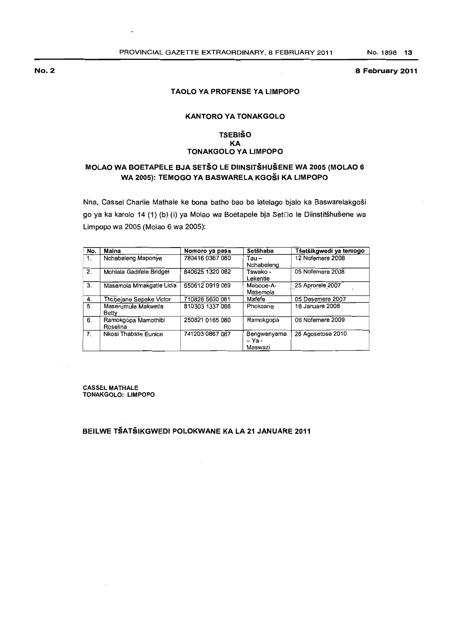#### 8 February 2011

#### TAOlO YA PROFENSE YA liMPOPO

## KANTORO YA TONAKGOLO

# **TSEBIŠO** KA TONAKGOlO YA liMPOPO

# MOlAO WA BOETAPELE BJA SETSO lE DIINSITSHUSENE WA 2005 (MOLAO 6 WA 2005): TEMOGO YA BASWARElA KGOSI KA LIMPOPO

Nna, Cassel Charlie Mathale ke bona batho bao ba latelago bjalo ka Baswarelakgosi go ya ka karolo 14 (1) (b) (i) ya Molao wa Boetapele bja SetDo Ie Diinstitshusene wa Limpopo wa 2005 (Molao 6 wa 2005):

| No. | Maina                           | Nomoro ya pasa  | Setšhaba                         | Tšatšikgwedi ya temogo |
|-----|---------------------------------|-----------------|----------------------------------|------------------------|
| 1.  | Nchabeleng Maponye              | 780416 0367 080 | Tau –<br>Nchabeleng              | 12 Nofemere 2008       |
| 2.  | Mohlala Gadifele Bridget        | 840625 1320 082 | Tswako -<br>Lekentle             | 05 Nofemere 2008       |
| 3.  | Masemola Mmakgatle Lidia        | 650612 0919 089 | Mabooe-A-<br>Masemola            | 25 Aprorele 2007       |
| 4.  | Thobejane Sepeke Victor         | 710828 5630 081 | Mafefe                           | 05 Desemere 2007       |
| 5.  | Maserumule Makwetle<br>Betty    | 810303 1337 086 | Phokoane                         | 16 Januare 2008        |
| 6.  | Ramokgopa Mamothibi<br>Roselina | 250821 0165 080 | Ramokgopa                        | 06 Nofemere 2009       |
| 7.  | Nkosi Thabsile Eunice           | 741203 0867 087 | Bengwenyama<br>– Ya -<br>Maswazi | 26 Agosetose 2010      |

CASSEL MATHALE TONAKGOLO: LIMPOPO

BEllWE TSATSIKGWEDI POlOKWANE KA lA 21 JANUARE 2011

No.2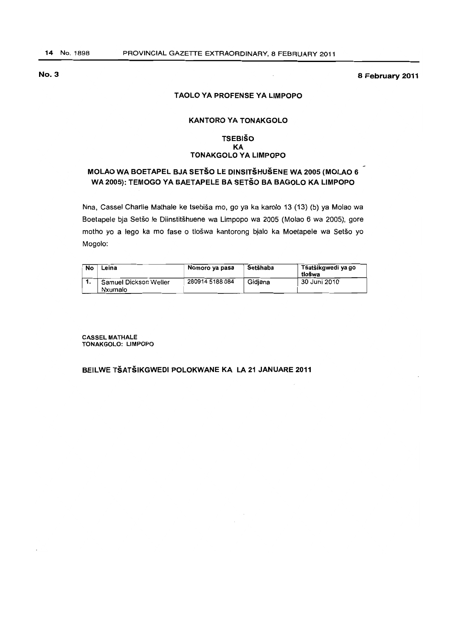**8 February 2011** 

#### **T AOLO VA PROFENSE VA LIMPOPO**

# **KANTORO VA TONAKGOLO**

#### **TSEBISO KA TONAKGOLO VA LIMPOPO**

# **MOLAO WA BOETAPEL BJA SETSO LE DINSITSHUSENE WA 2005 (MOLAO** 6 **WA** 2005): **TEMOGO VA BAETAPELE BA SETSO BA BAGOLO KA LIMPOPO**

Nna, Cassel Charlie Mathale ke tsebisa mo, go ya ka karolo 13 (13) (b) ya Molao wa Boetapele bja Setšo le Diinstitšhuene wa Limpopo wa 2005 (Molao 6 wa 2005), gore motho yo a lego ka mo fase o tlošwa kantorong bjalo ka Moetapele wa Setšo yo Mogolo:

| No | Leina                            | Nomoro ya pasa  | Setšhaba | Tšatšikgwedi ya go<br>tlošwa |
|----|----------------------------------|-----------------|----------|------------------------------|
|    | Samuel Dickson Weller<br>Nxumalo | 280914 5188 084 | Gidiana  | 30 Juni 2010                 |

CASSEL MATHALE TONAKGOLO: LIMPOPO

# **BEILWE TSATSIKGWEDI POLOKWANE KA LA 21 JANUARE 2011**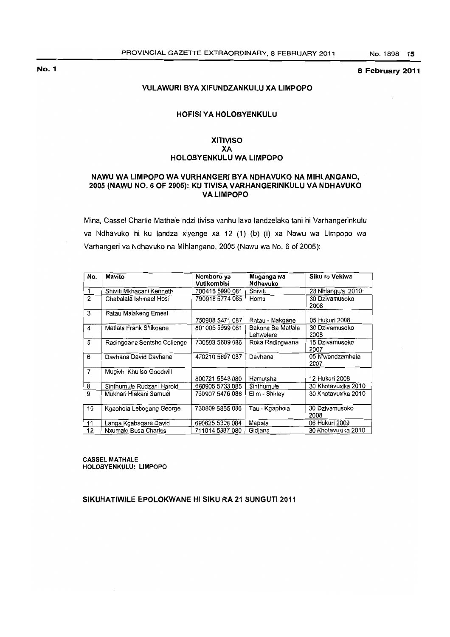#### 8 February 2011

#### VULAWURI BYA XIFUNDZANKULU XA LIMPOPO

# HOFISI YA HOLOBYENKULU

# XITIVISO XA HOLOBYENKULU WA LIMPOPO

#### NAWU WA LIMPOPO WA VURHANGERI BY A NDHAVUKO NA MIHLANGANO, 2005 (NAWU NO.6 OF 2005): KU TIVISA VARHANGERINKULU VA NDHAVUKO VA LIMPOPO

Mina, Cassel Charlie Mathale ndzi tivisa vanhu lava landzelaka tani hi Varhangerinkulu va Ndhavuko hi ku landza xiyenge xa 12 (1) (b) (i) xa Nawu wa Limpopo wa Varhangeri va Ndhavuko na Mihlangano, 2005 (Nawu wa No. 6 of 2005):

| No.            | Mavito                      | Nomboro ya<br><b>Vutikombisi</b> | Muganga wa<br>Ndhavuko         | Siku ro Vekiwa           |
|----------------|-----------------------------|----------------------------------|--------------------------------|--------------------------|
| 1              | Shiviti Mkhacani Kenneth    | 700416 5990 081                  | Shiviti                        | 28 Nhlangula 2010        |
| 2              | Chabalala Ishmael Hosi      | 790918 5774 085                  | Homu                           | 30 Dzivamusoko<br>2008   |
| 3              | Ratau Malakeng Ernest       | 750908 5471 087                  | Ratau - Makgane                | 05 Hukuri 2008           |
| 4              | Matlala Frank Shikoane      | 801005 5999 081                  | Bakone Ba Matlala<br>Lehwelere | 30 Dzivamusoko<br>2008   |
| 5              | Radingoana Sentsho Collenge | 730503 5609 086                  | Roka Radingwana                | 15 Dzivamusoko<br>2007   |
| 6              | Davhana David Davhana       | 470210 5697 087                  | Davhana                        | 05 N'wendzamhala<br>2007 |
| $\overline{7}$ | Mugivhi Khuliso Goodwill    | 800721 5543 080                  | Hamutsha                       | 12 Hukuri 2008           |
| 8              | Sinthumule Rudzani Harold   | 660905 5733 085                  | Sinthumule                     | 30 Khotavuxika 2010      |
| 9              | Mukhari Hlekani Samuel      | 760907 5476 086                  | Elim - Shirley                 | 30 Khotavuxika 2010      |
| 10             | Kgaphola Lebogang George    | 730809 5855 086                  | Tau - Kgaphola                 | 30 Dzivamusoko<br>2008   |
| 11             | Langa Kgabagare David       | 690625 5308 084                  | Mapela                         | 06 Hukuri 2009           |
| 12             | Nxumalo Busa Charles        | 711014 5387 080                  | Gidjana                        | 30 Khotavuxika 2010      |

CASSEL MATHALE HOLOBYENKULU: LIMPOPO

#### SIKUHATIWILE EPOLOKWANE HI SIKU RA 21 SUNGUTI 2011

No.1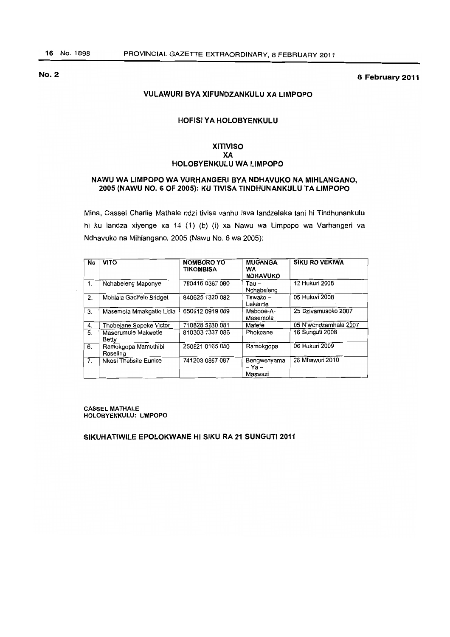No.2 8 February 2011

#### VULAWURI BYA XIFUNDZANKULU XA LIMPOPO

# **HOFISI YA HOLOBYENKULU**

# XITIVISO XA HOLOBYENKULU WA LIMPOPO

### NAWU WA LIMPOPO WA VURHANGERI BY A NDHAVUKO NA MIHLANGANO, 2005 (NAWU NO.6 OF 2005): KU TIVISA TINDHUNANKULU TA LIMPOPO

Mina, Cassel Charlie Mathale ndzi tivisa vanhu lava landzelaka tani hi Tindhunank ulu hi ku landza xiyenge xa 14 (1) (b) (i) xa Nawu wa Limpopo wa Varhangeri va Ndhavuko na Mihlangano, 2005 (Nawu No.6 wa 2005):

| No | <b>VITO</b>                     | NOMBORO YO<br><b>TIKOMBISA</b> | <b>MUGANGA</b><br><b>WA</b><br><b>NDHAVUKO</b> | <b>SIKU RO VEKIWA</b> |
|----|---------------------------------|--------------------------------|------------------------------------------------|-----------------------|
| 1. | Nchabeleng Maponye              | 780416 0367 080                | $Tau -$<br>Nchabeleng                          | 12 Hukuri 2008        |
| 2. | Mohlala Gadifele Bridget        | 840625 1320 082                | Tswako –<br>Lekentle                           | 05 Hukuri 2008        |
| 3. | Masemola Mmakgatle Lidia        | 650612 0919 089                | Mabooe-A-<br>Masemola                          | 25 Dzivamusoko 2007   |
| 4. | Thobejane Sepeke Victor         | 710828 5630 081                | Mafefe                                         | 05 N'wendzamhala 2007 |
| 5. | Maserumule Makwetle<br>Betty    | 810303 1337 086                | Phokoane                                       | 16 Sunguti 2008       |
| 6. | Ramokgopa Mamothibi<br>Roselina | 250821 0165 080                | Ramokgopa                                      | 06 Hukuri 2009        |
| 7. | Nkosi Thabsile Eunice           | 741203 0867 087                | Bengwenyama<br>$- Ya -$<br>Maswazi             | 26 Mhawuri 2010       |

CASSEL MATHALE HOI..OBYENKULU: LIMPOPO

SIKUHATIWILE EPOLOKWANE HI SIKU RA 21 SUNGUTI 2011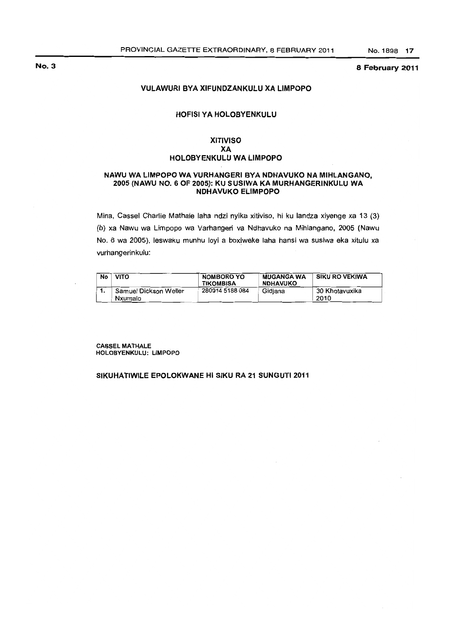#### 8 February 2011

# VULAWURI BYA XIFUNDZANKULU XA LIMPOPO

### HOFISI YA HOLOBYENKULU

# XITIVISO XA HOLOBYENKULU WA LIMPOPO

#### NAWU WA LIMPOPO WA VURHANGERI BY A NDHAVUKO NA MIHLANGANO, 2005 (NAWU NO. 6 OF 2005): KU SUSIWA KA MURHANGERINKULU WA NDHAVUKO ELiMPOPO

Mina, Cassel Charlie Mathale laha ndzi nyika xitiviso, hi ku landza xiyenge xa 13 (3) (b) xa Nawu wa Limpopo wa Varhangeri va Ndhavuko na Mihlangano, 2005 (Nawu No. 6 wa 2005), leswaku munhu loyi a boxiweke laha hansi wa susiwa eka xitulu xa vurhangerinkulu:

| No | <b>VITO</b>                      | NOMBORO YO<br><b>TIKOMBISA</b> | <b>MUGANGA WA</b><br><b>NDHAVUKO</b> | SIKU RO VEKIWA         |
|----|----------------------------------|--------------------------------|--------------------------------------|------------------------|
|    | Samuel Dickson Weller<br>Nxumalo | 280914 5188 084                | Gidiana                              | 30 Khotavuxika<br>2010 |

CASSEL MATHALE HOLOBYENKULU: LIMPOPO

#### SIKUHATIWILE EPOLOKWANE HI SIKU RA 21 SUNGUTI 2011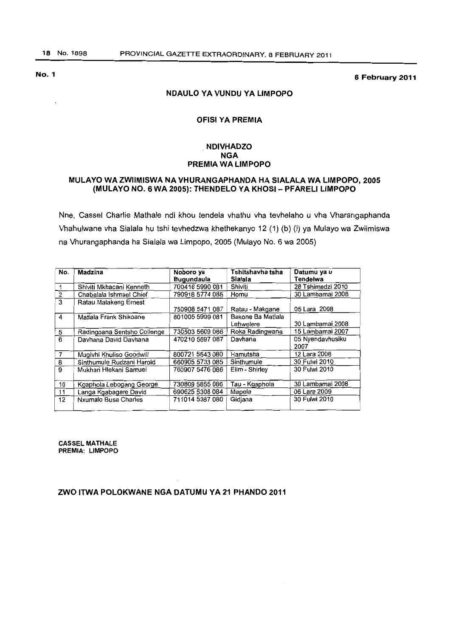8 February 2011

# NDAULO YA VUNDU YA LIMPOPO

#### OFISI YA PREMIA

# . NDIVHADZO NGA PREMIA WA LIMPOPO

# MULAYO WA ZWIIMISWA NA VHURANGAPHANDA HA SIALALA WA LIMPOPO. 2005 (MULAYO NO.6 WA 2005): THENDELO YA KHOSI- PFARELI LIMPOPO

Nne, Cassel Charlie Mathale ndi khou tendela vhathu vha tevhelaho u vha Vharangaphanda Vhahulwane vha Sialala hu tshi tevhedzwa khethekanyo 12 (1) (b) (i) ya Mulayo wa Zwiimiswa na Vhurangaphanda ha Sialala wa Limpopo, 2005 (Mulayo No.6 wa 2005)

| No.            | Madzina                     | Noboro ya<br><b>Bugundaula</b> | Tshitshavha tsha<br>Sialala    | Datumu ya u<br><b>Tendelwa</b> |
|----------------|-----------------------------|--------------------------------|--------------------------------|--------------------------------|
|                | Shiviti Mkhacani Kenneth    | 700416 5990 081                | Shiviti                        | 28 Tshimedzi 2010              |
| $\overline{2}$ | Chabalala Ishmael Chief     | 790918 5774 085                | Homu                           | 30 Lambamai 2008               |
| 3              | Ratau Malakeng Ernest       | 750908 5471 087                | Ratau - Makgane                | 05 Lara 2008                   |
| $\overline{4}$ | Matlala Frank Shikoane      | 801005 5999 081                | Bakone Ba Matlala<br>Lehwelere | 30 Lambamai 2008               |
| 5              | Radingoana Sentsho Collenge | 730503 5609 086                | Roka Radingwana                | 15 Lambamai 2007               |
| 6              | Davhana David Davhana       | 470210 5697 087                | Davhana                        | 05 Nyendavhusiku<br>2007       |
| $\overline{7}$ | Mugivhi Khuliso Goodwill    | 800721 5543 080                | Hamutsha                       | 12 Lara 2008                   |
| 8              | Sinthumule Rudzani Harold   | 660905 5733 085                | Sinthumule                     | 30 Fulwi 2010                  |
| $\overline{9}$ | Mukhari Hlekani Samuel      | 760907 5476 086                | Elim - Shirley                 | 30 Fulwi 2010                  |
| 10             | Kgaphola Lebogang George    | 730809 5855 086                | Tau - Kgaphola                 | 30 Lambamai 2008               |
| 11             | Langa Kgabagare David       | 690625 5308 084                | Mapela                         | 06 Lara 2009                   |
| 12             | Nxumalo Busa Charles        | 711014 5387 080                | Gidiana                        | 30 Fulwi 2010                  |

**CASSEL MATHALE** PREMIA: LIMPOPO

# ZWO ITWA POLOKWANE NGA DATUMU YA 21 PHANDO 2011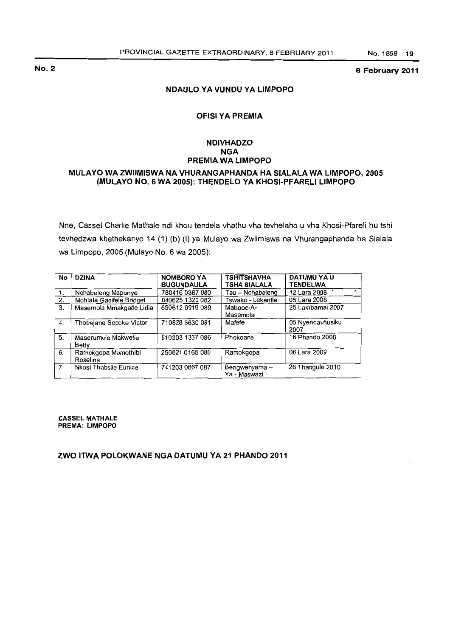8 February 2011

# NDAULO YAVUNDU YA LIMPOPO

# OFISI YA PREMIA

# . NDIVHADZO NGA PREMIA WA LIMPOPO

# MULAYO WAZWIIMISWA NA VHURANGAPHANDA HA SIALALA WA LIMPOPO, 2005 (MULAYO NO.6 WA 2005): THENDELO VA KHOSI·PFARELI LIMPOPO

Nne, Cassel Charlie Mathale ndi khou tendela vhathu vha tevhelaho u vha Khosi-Pfareli hu tshi tevhedzwa khethekanyo 14 (1) (b) (i) ya Mulayo wa Zwiimiswa na Vhurangaphanda ha Sialala wa Limpopo. 2005 (Mulayo No.6 wa 2005):

| No | <b>DZINA</b>                    | <b>NOMBORO YA</b><br><b>BUGUNDAULA</b> | <b>TSHITSHAVHA</b><br><b>TSHA SIALALA</b> | <b>DATUMU YA U</b><br><b>TENDELWA</b> |
|----|---------------------------------|----------------------------------------|-------------------------------------------|---------------------------------------|
| 1. | Nchabeleng Maponye              | 780416 0367 080                        | Tau – Nchabeleng                          | 12 Lara 2008                          |
| 2. | Mohlala Gadifele Bridget        | 840625 1320 082                        | Tswako - Lekentle                         | 05 Lara 2008                          |
| 3. | Masemola Mmakgatle Lidia        | 650612 0919 089                        | Mabooe-A-<br>Masemola                     | 25 Lambamai 2007                      |
| 4. | Thobejane Sepeke Victor         | 710828 5630 081                        | Mafefe                                    | 05 Nyendavhusiku<br>2007              |
| 5. | Maserumule Makwetle<br>Betty    | 810303 1337 086                        | Phokoane                                  | 16 Phando 2008                        |
| 6. | Ramokgopa Mamothibi<br>Roselina | 250821 0165 080                        | Ramokgopa                                 | 06 Lara 2009                          |
| 7. | Nkosi Thabsile Eunice           | 741203 0867 087                        | Bengwenyama -<br>Ya - Maswazi             | 26 Thangule 2010                      |

CASSEL MATHALE PREMA: LIMPOPO

# ZWO ITWA POLOKWANE NGA DATUMU YA 21 PHANDO 2011